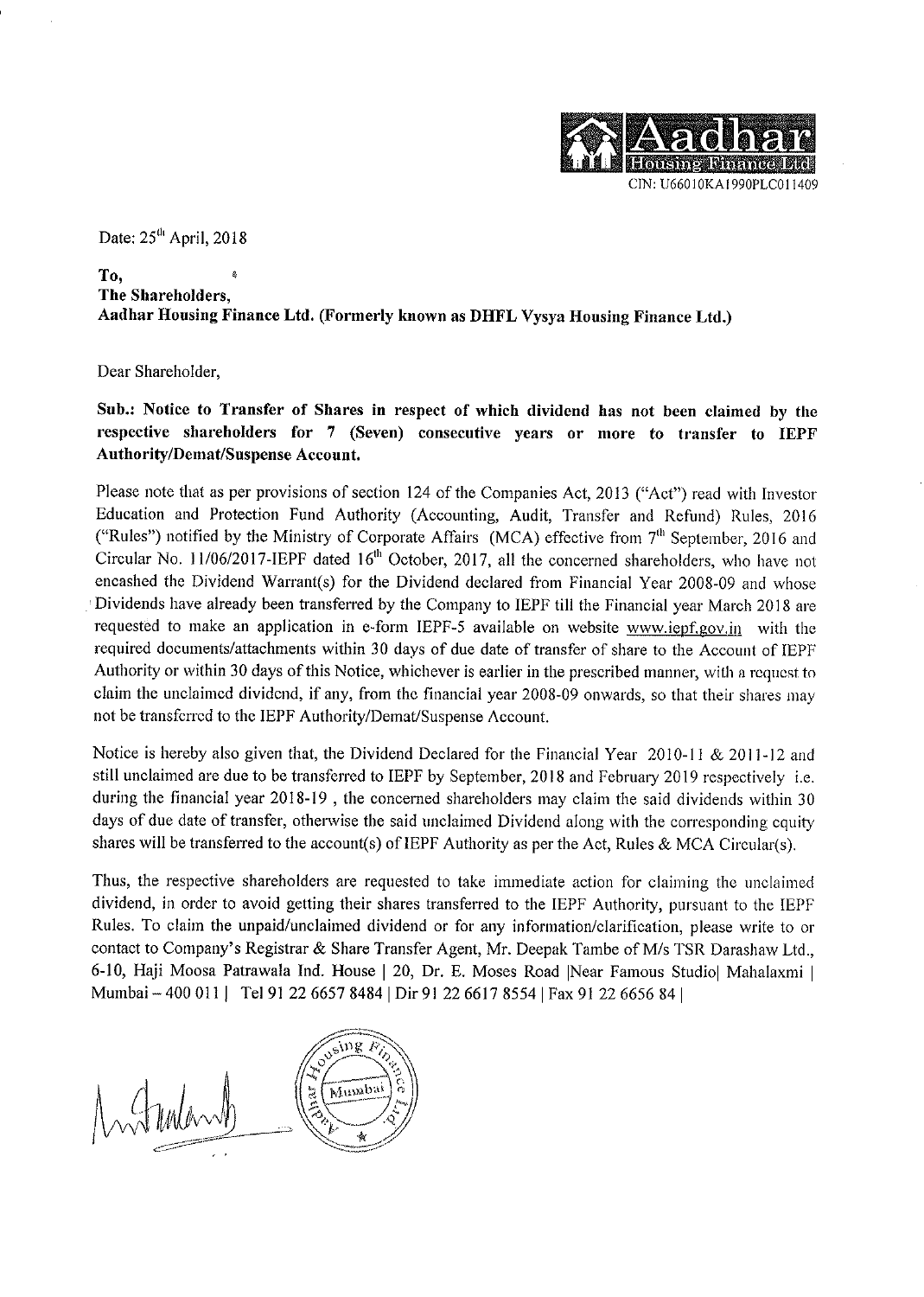

Date: 25<sup>th</sup> April, 2018

## To, The Shareholders. Aadhar Housing Finance Ltd. (Formerly known as DHFL Vysya Housing Finance Ltd.)

Dear Shareholder,

Sub.: Notice to Transfer of Shares in respect of which dividend has not been claimed by the respective shareholders for 7 (Seven) consecutive years or more to transfer to IEPF **Authority/Demat/Suspense Account.** 

Please note that as per provisions of section 124 of the Companies Act, 2013 ("Act") read with Investor Education and Protection Fund Authority (Accounting, Audit, Transfer and Refund) Rules, 2016 ("Rules") notified by the Ministry of Corporate Affairs (MCA) effective from 7<sup>th</sup> September, 2016 and Circular No. 11/06/2017-IEPF dated 16<sup>th</sup> October, 2017, all the concerned shareholders, who have not encashed the Dividend Warrant(s) for the Dividend declared from Financial Year 2008-09 and whose Dividends have already been transferred by the Company to IEPF till the Financial year March 2018 are requested to make an application in e-form IEPF-5 available on website www.iepf.gov.in with the required documents/attachments within 30 days of due date of transfer of share to the Account of IEPF Authority or within 30 days of this Notice, whichever is earlier in the prescribed manner, with a request to claim the unclaimed dividend, if any, from the financial year 2008-09 onwards, so that their shares may not be transferred to the IEPF Authority/Demat/Suspense Account.

Notice is hereby also given that, the Dividend Declared for the Financial Year 2010-11 & 2011-12 and still unclaimed are due to be transferred to IEPF by September, 2018 and February 2019 respectively *i.e.* during the financial year 2018-19, the concerned shareholders may claim the said dividends within 30 days of due date of transfer, otherwise the said unclaimed Dividend along with the corresponding equity shares will be transferred to the account(s) of IEPF Authority as per the Act, Rules & MCA Circular(s).

Thus, the respective shareholders are requested to take immediate action for claiming the unclaimed dividend, in order to avoid getting their shares transferred to the IEPF Authority, pursuant to the IEPF Rules. To claim the unpaid/unclaimed dividend or for any information/clarification, please write to or contact to Company's Registrar & Share Transfer Agent, Mr. Deepak Tambe of M/s TSR Darashaw Ltd., 6-10, Haji Moosa Patrawala Ind. House | 20, Dr. E. Moses Road | Near Famous Studio | Mahalaxmi | Mumbai - 400 011 | Tel 91 22 6657 8484 | Dir 91 22 6617 8554 | Fax 91 22 6656 84 |

Jeing Pin **Blue** Mumbai Mulan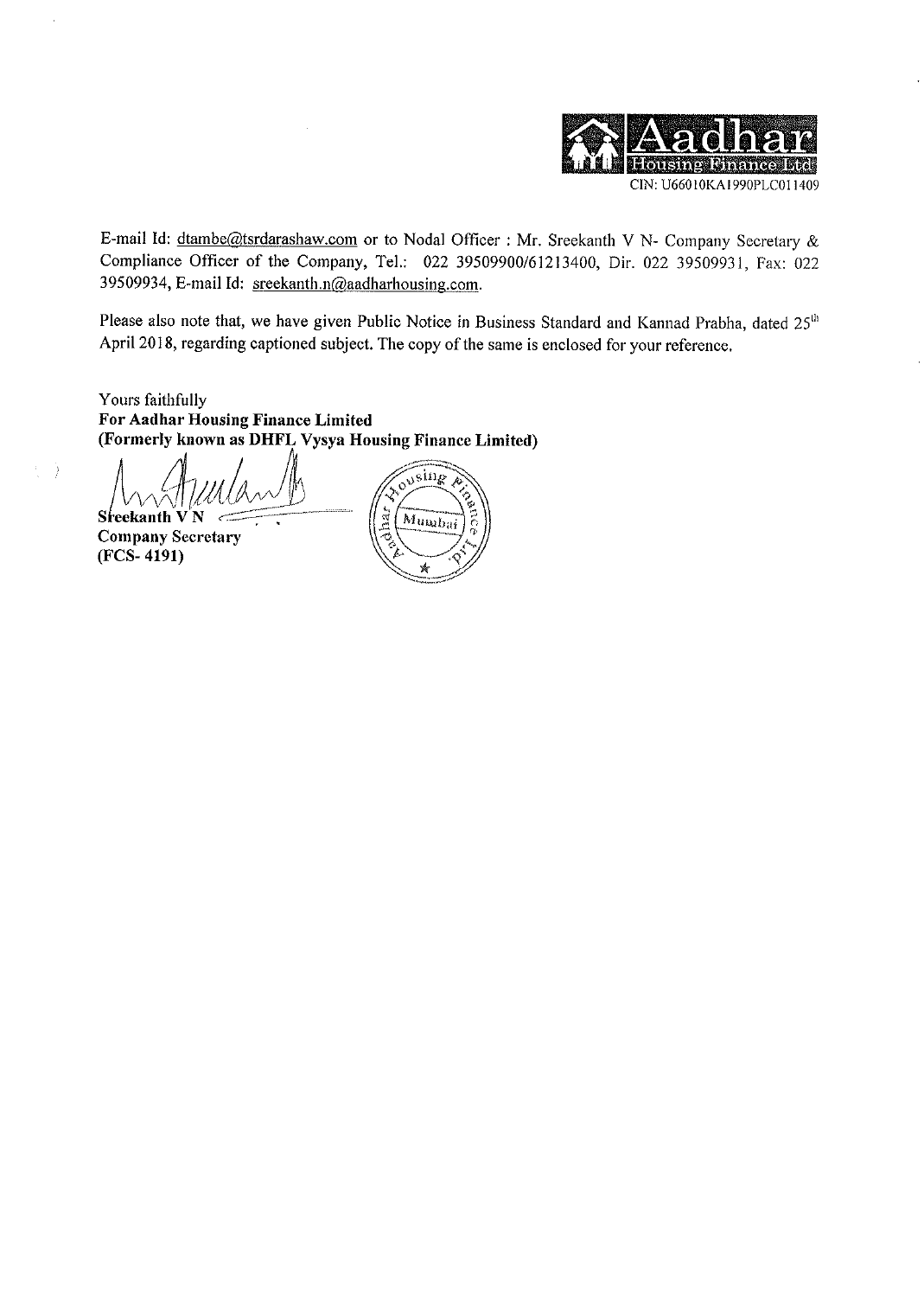

E-mail Id: dtambe@tsrdarashaw.com or to Nodal Officer : Mr. Sreekanth V N- Company Secretary & Compliance Officer of the Company, Tel.: 022 39509900/61213400, Dir. 022 39509931, Fax: 022 39509934, E-mail Id: sreekanth.n@aadharhousing.com.

Please also note that, we have given Public Notice in Business Standard and Kannad Prabha, dated 25<sup>th</sup> April 2018, regarding captioned subject. The copy of the same is enclosed for your reference.

Yours faithfully For Aadhar Housing Finance Limited (Formerly known as DHFL Vysya Housing Finance Limited)

Sreekanth VN **Company Secretary**  $(FCS-4191)$ 

 $\left\langle \cdot \right\rangle$ 

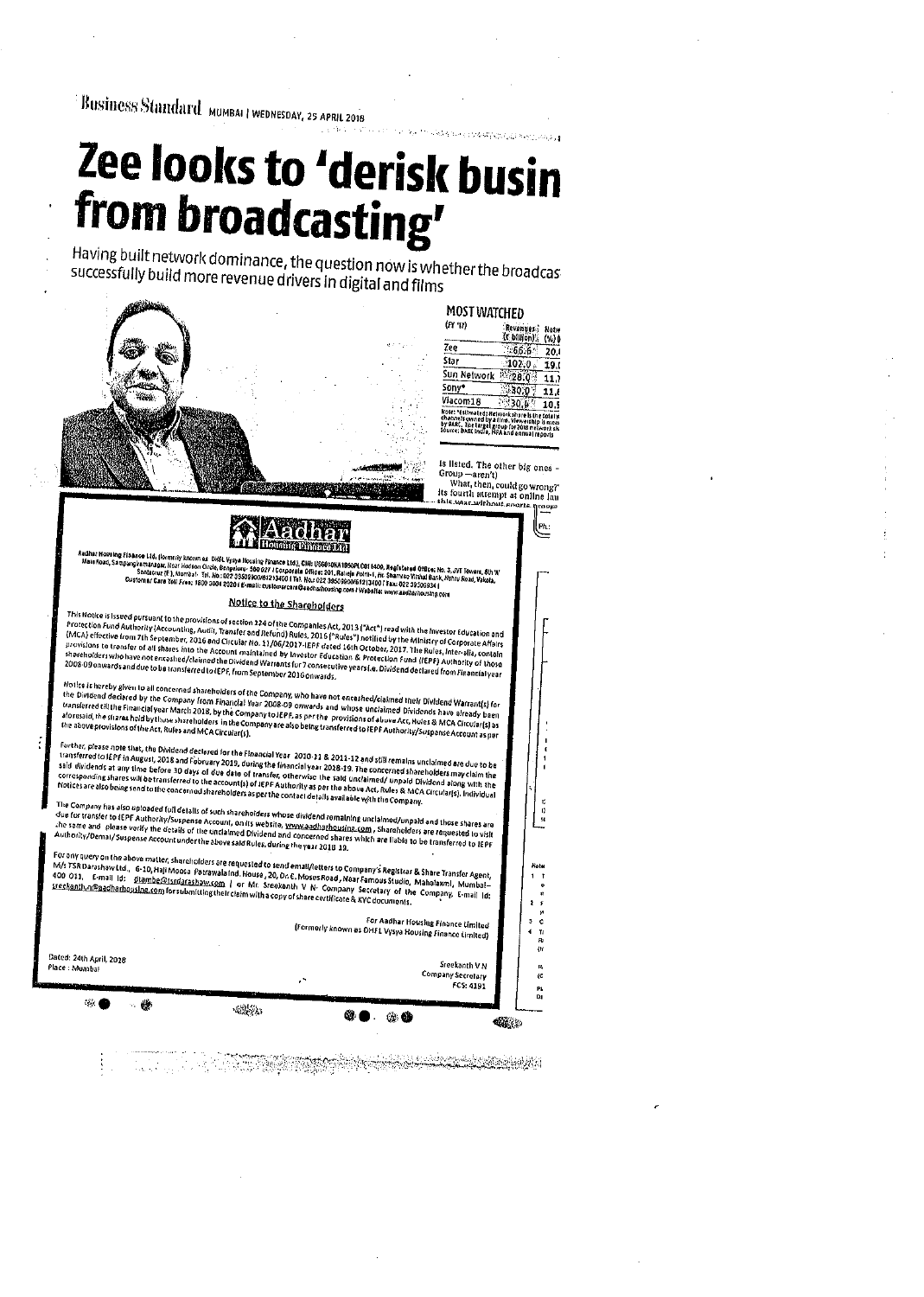Business Standard MUMBAI | WEDNESDAY, 25 APRIL 2018

## Zee looks to 'derisk busin from broadcasting'

Having built network dominance, the question now is whether the broadcas successfully build more revenue drivers in digital and films



**MOST WATCHED**  $(\mathbf{r} \mathbf{r} \cdot \mathbf{r})$ Revenues Networks  $7e$  $66.620.$ **Star**  $102.0$ 19. Sun Network  $128.0111.$  $\frac{30.0}{30.4}$   $\frac{30.4}{30.4}$   $\frac{30.4}{30.4}$   $\frac{64.4}{30.4}$   $\frac{64.4}{30.4}$   $\frac{64.4}{30.4}$   $\frac{64.4}{30.4}$   $\frac{64.4}{30.4}$   $\frac{64.4}{30.4}$   $\frac{64.4}{30.4}$ Sony\* Viacom18 Kole: \*estimated Channels on<br>by SARC, 7h<br>lOurce: BARC

is listed. The other big ones -Group – aren't)<br>What, then, could go wrong?<br>Its fourth attempt at online lau<br>this was without senate group

nop  $\overline{P}$ 

 $\bar{u}$ 

 $\overline{ }$ 

 $\frac{R}{C}$ 

P)

Aadhar Housing Finance Ltd, (Iornery known as DHFL Yysya Housing Finance Ltd.), DHFUSo00KA1090PLC01 L409, Registered Office: No. 3. JVT Towers, 8th X<br>Main Road, Sampsumanger, Near Housinn Circle, Bengaluru- 550 077 / Ecup

## Notice to the Shareholders

This Notice is Issued pursuant to the provisions of section 124 of the Companies Act, 2013 ("Act") read with the Investor Education and Protection Fund Authority (Accounting, Audit, Transfer on Refund) Rules, 2016 ("Rules"

Notice is hereby given to all concerned shareholders of the Company, who have not encashed/claimed their Dividend Warrant(s) for Notice is horeby given to all concerned shareholders of the Company, who have not enceshed/claimed their Dividend Warrant(s) for<br>the Dividend declared by the Company from Financial Year 2008-09 onwerds and whose unclaimed

Further, please note that, the Dividend declared for the Financial Year 2010-31 & 2011-12 and still remains unclaimed are due to be Forther, please note that, the Dividend declared for the Financial Year–2010-21-8-2011-12 and still remains unclaimed are due to be<br>transferred to LEPF in August, 2018 and Fabruary 2019, during the financial year–2018-19.

Company has also uploaded full details of such shareholders whose dividend romalning unclaimed/unpaid and those shares are The Company has also uploaded full details of such shareholders whose dividend romaining unclaimod/unpaid and those shares are<br>due for transfer to IEPF Authority/Suspense Account, on its website, <u>www.aadharhousina.com</u> ,

For any query on the above matter, shareholders are requested to send emall/fetters to Company's Registrar & Share Transfer Agent,<br>M/s TSR Darashaw Ltd., 6-10, Haji Moosa Patrawala Ind. House, 20, Dr. E. Moses Road, Nea For Aadhar Housing Finance Limited<br>(Formerly known as OHFL Vysya Housing Finance Limited)

Dated: 24th April, 2018

Sreekanth V N .<br>Place : Mumba Company Secretary FCS: 4191  $\mathcal{G}'$ 蠖  $-22 - 2$  $\omega$   $\bullet$ ◈◎ **Called**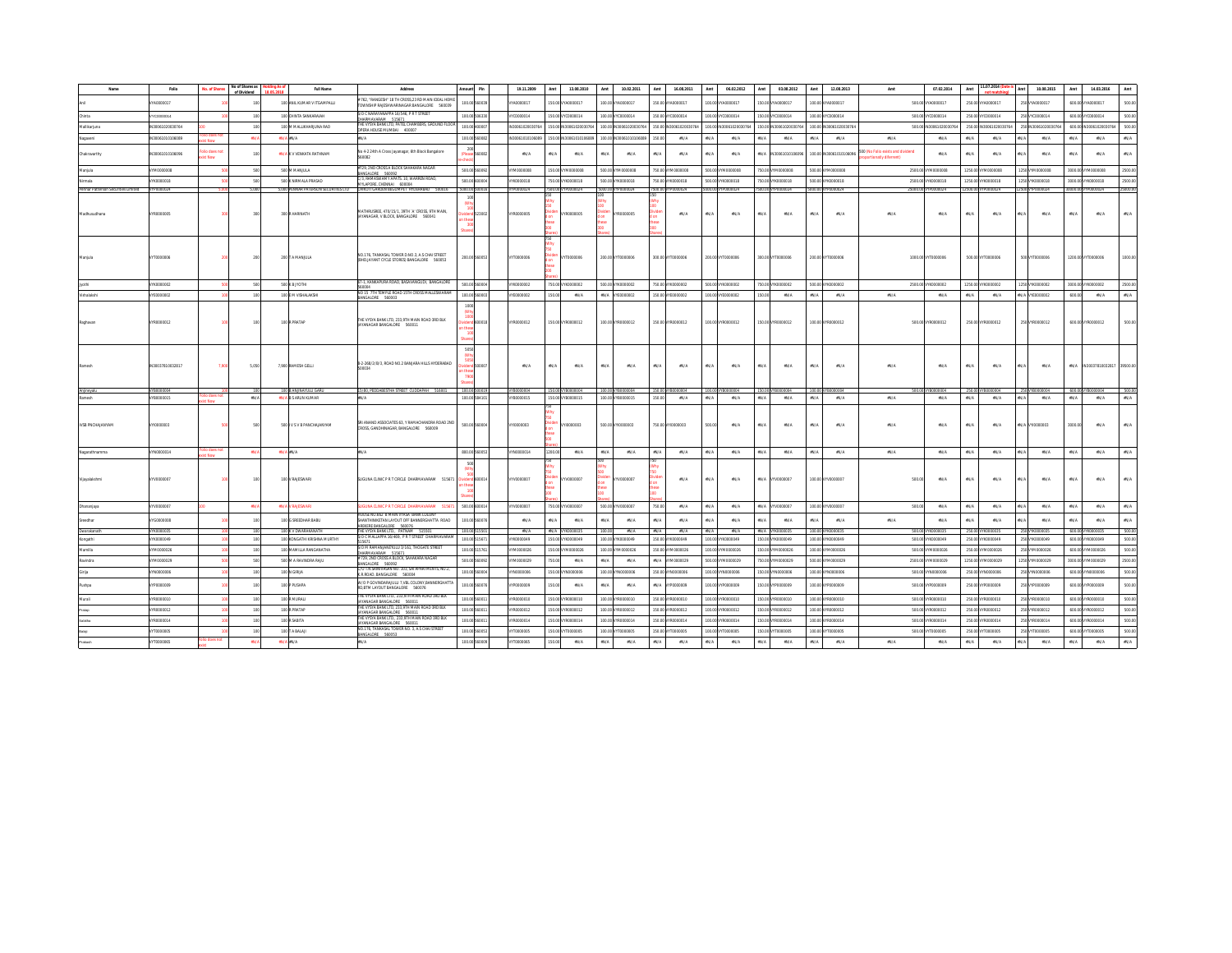|                                     | Folio                          | No. of Shares        | No of Shares a<br>of Dividend | <b>Full Name</b>                            | Address                                                                                                        | Pin                     | 19.11.2009        | <b>Amt</b><br>13.08.2010                                   | 10.02.2011<br>Amt                      | 16.08.2011<br>Amt                   | Amt                                      | 06.02.2012                       | Amt              | 03.08.2012             | 12.08.2013<br>Amt       | Amt                                                        | 07.02.2014              | 11.07.2014<br>Amt                                | Amt           | 10.08.2015          | Amt<br>14.03.2016       | Amt                                      |
|-------------------------------------|--------------------------------|----------------------|-------------------------------|---------------------------------------------|----------------------------------------------------------------------------------------------------------------|-------------------------|-------------------|------------------------------------------------------------|----------------------------------------|-------------------------------------|------------------------------------------|----------------------------------|------------------|------------------------|-------------------------|------------------------------------------------------------|-------------------------|--------------------------------------------------|---------------|---------------------|-------------------------|------------------------------------------|
|                                     | YA0000017                      |                      |                               | 100 ANIL KUMAR V ITGAMPALLI                 | 762, "RANGESH" 18 TH CROSS, 23 RD MAIN IDEAL HOME<br>TOWNSHIP RAJESHWARINAGAR BANGALORE 560039                 | 100.00 560039           | YA0000017         | 150.00 VYA0000017                                          | 100.00 VYA0000017                      | 150.00 VYA0000017                   |                                          | 100.00 VYA0000017                |                  | 150.00 VYA0000017      | 100.00 VYA0000017       |                                                            | 500.00 VYA0000017       | 250.00 VYA0000017                                |               | 250 VYA0000017      | 600.00 VYA0000017       | 500.00                                   |
|                                     | YC0000014                      |                      | 100                           | 100 CHINTA SANKARAIAH                       | S/O C NARAYANAPPA 16/546, P R T STREET<br>TA272 MAGAILMARCHILL                                                 | 100.00 506330           | YC0000014         | 150.00 VYC0000014                                          | 100.00 VYC0000014                      | 150.00 VYC0000014                   |                                          | 100.00 VYC0000014                |                  | 150.00 VYC0000014      | 100.00 VYC0000014       |                                                            | 500.00 VYC0000014       | 250.00 VYC0000014                                |               | 250 VYC0000014      | 600.00 VYC0000014       | 500.00                                   |
| alikariuna                          | N30061020030764                |                      | 100                           | 100 M MALLIKHARJUNA RAD                     | THE WYSYA RANK ITD PATEL CHAMRERS (GROUND ELO)<br>OPERA HOUSE MUMBAI 400007                                    | 100.00 400007           | V30061020030764   | 150.00 1N30061020030764                                    | 100.00 IN30061020030764                | 150.00 IN30061020030764             |                                          | 100.00 IN3006102003076           |                  | 50.00 IN30061020030764 | 100.00 IN30061020030764 |                                                            | 500.00 IN30061020030764 | 250.00 IN30061020030764                          |               | 250 IN3006102003076 | 600.00 IN30061020030764 | 500.00                                   |
|                                     | N30061010106089                |                      |                               | <b>EN/A FN/A</b>                            |                                                                                                                | 100.00 560082           | (30061010106089   | 50.00   N3006101010608                                     | 100.00 IN30061010106089                | 3N/A                                | #N/A                                     | $\varepsilon$ N/A                | <b>FN/A</b>      | $IN/A$                 | 3N/A<br>371/A           | zN/A                                                       | zN/A                    | #N/A<br>$z$ N/A                                  | #N/A          | $2N/A$              | 3N/A<br>zN/A            | $\varepsilon$ N/A                        |
| Chakravarthy                        | IN30041010106096               | llo does no<br>t Now | 100                           | <b>2N/A K V VENKATA RATHMAM</b>             | No 4-2 24th A Cross Jayanagar, 6th Block Bangalore<br>60082                                                    | 560087                  | $2N/\Delta$       | $2N/\Delta$<br>AN/A                                        | $2N/\Delta$<br>sti/A                   | 271/4<br>274/A                      | 2N/A                                     | $2N/\Delta$                      |                  | #N/A IN3006101010609   | 100.00 8/30061010106096 | 00 (No Folio exists and dividend<br>portionatly diferrent) | $2N/\Delta$             | 2NL/L<br>2N/A                                    |               | 2N/A                | $2N/\Delta$<br>274/A    | $\varepsilon$ N/A                        |
|                                     | 9000000MY                      |                      | 500                           | 500 M MANUULA                               | #729, 2ND CROSS A BLOCK SAHAKARA NAGAR<br>RANGALORE 540092                                                     | 500.00 560092           | 1/0000008         | 50.00 VYM0000008                                           | 500.00 VYM0000008                      | 750.00 VYM0000008                   |                                          | 500.00 VYM0000008                |                  | 750.00 VYM0000008      | 500.00 V11/0000008      |                                                            | 2500.00 VYM0000008      | 1250.00 VYM0000008                               |               | 1250 VYM0000008     | 3000.00 V17/0000008     | 2500.00                                  |
|                                     | (K0000018                      |                      | 500                           | 500 K NIRMALA PRASAD                        | "/3 RAMASWAMY APATS 10 WARREN ROAD<br>MYLAPORE CHEMINAL ADDONA                                                 | 500.00 600004           | K0000018          | 750.00 VYK0000018                                          | 500.00 VYK0000018                      | 750 CO<br>VYK0000018                |                                          | 500.00 VYK0000018                |                  | 750.00 VYK0000018      | 500.00 V/K0000018       |                                                            | 2500.00 VYK0000018      | 1250.00 VWX0000018                               |               | 1250 VYK0000018     | 3000.00 VYK0000018      | 2500.00                                  |
| Pennar Patterson Securities Limited | Y/P0000024                     |                      | 5,000                         | 5,000 PENNAR PATERSON SECURITIES LTD        | CHIKOTI GARDEN BEGUMPET HYDERABAD 500016                                                                       | 5000.00 500016          | VYP0000024        | 7500.00 VYP0000024                                         | 5000.00 VYP0000024                     | YP0000024<br><b>7500.00</b>         |                                          | 5000.00 VYP0000024               |                  | 500.00 VYP0000024      | 5000.00 VYP0000024      |                                                            | 25000.00 VYP0000024     | 12500.00 VYP0000024                              |               | 12500 VYP0000024    | 0000.00 VYP0000024      | 25000.00                                 |
| Madhusudhana                        | YR0000005                      |                      | 300                           | 300 R HARINATH                              | MATHRUSREE, 470/15/1, 39TH 'A' CROSS, 9TH MAIN,<br>JAYANAGAR, V BLOCK, BANGALORE 560041                        | 23002                   | YR0000005         | YR0000005                                                  | YR0000005                              | zN/A                                | #N/A                                     | $z$ N/A                          | zN/A             | IN/A                   | 3N/A<br>37UA            | $\n  zN/A\n$                                               | TNA                     | 37 <i>VA</i><br>$2 N/A$                          | 194/A         | $2N/A$              | 3N/A<br>zN/A            | $2N/A$                                   |
|                                     | 0000000TW                      |                      | 200                           | 200 T A MANJULA                             | NO.176. TANKASAL TOWER D.NO.3. A.S CHAI STREET<br>(BHD.JAYANT CYCLE STORES) BANGALORE 560053                   | 200.00 560053           | A000000TW         | VYT0000006                                                 | 200.00 VYT0000006                      | 300.00 VYT0000006                   |                                          | 200.00 VYT0000006                |                  | 300.00 VYT0000006      | 200.00 VYT0000006       |                                                            | 1000.00 VYT0000006      | 500.00 VYT0000006                                |               | 500 VYT0000006      | 1200.00 VYT0000006      | 1000.00                                  |
|                                     | reconnona                      |                      | 500                           | 500 K B JYOTH                               | 67-1, KANKAPURA ROAD, BASAVANGUDI, BANGALORE                                                                   | 500.00 5                | connonsy          | 750 00 VYK0000002                                          | son on www.noncono.                    | 750.00 V/W000002                    |                                          | son on voconomo?                 |                  | 750.00 V/W0000002      | son on www.commo        |                                                            | 2500.00 VYK0000002      | 1250.00 VYK0000002                               |               | 1250 VYK0000002     | 3000.00 V/K0000002      | 2500.00                                  |
| Vishalakshi                         | VYE0000002                     |                      | 100                           | 100 E M VISHALAKSHI                         | 00 15 7TH TEMPLE ROAD 15TH CROSS MALLESWARAN<br>BANGALORE 560003                                               | 100.00 560003           | YE0000002         | 150.00<br>FNA                                              | #N/A VYE0000002                        | 150.00 VYE0000002                   |                                          | 100.00 VYE0000002                | 150.00           | IN/A                   | 37U/A<br>3N/A           | $\n  zN/A\n$                                               | #N/A                    | 37 <i>VA</i><br>$2N/A$                           |               | #N/A VYE0000002     | 600.00<br>$2N/A$        | $z$ N/A                                  |
|                                     | YR0000012                      |                      | 100                           | 100 R PRATAP                                | THE VYSYA BANK LTD. 233.9TH MAIN ROAD 3RD BLK<br>AYANAGAR BANGALORE 560011                                     | 10018                   | YR0000012         | 150.00 VYR0000012                                          | 100.00 VYR0000012                      | 150.00 VYR0000012                   |                                          | 100.00 VYR0000012                |                  | 150.00 VYR0000012      | 100.00 VYR0000012       | 500.00                                                     | R0000012                | 250.00 VYR0000012                                |               | 250 VYR0000012      | 600.00 VYR0000012       | 500.00                                   |
|                                     | IN30037810032817<br>VYB0000004 | 7.90                 | 5.050                         | 7.900 RAMESH GELLI<br>100 B ANJINAYULU GARI | 8-2-268/2/B/3, ROAD NO.2 BANJARA HILLS HYDERABAD<br>500034<br>15/80. PEDDABESTHA STREET CUDDAPAH 516001        | mont<br>100.00<br>10019 | zN/A<br>VR0000004 | $\sharp \mathrm{N}/\mathrm{A}$<br>zN/A<br>150.00 VYR000004 | $\sharp \mathbb{N}/\mathbb{A}$<br>#N/A | $\mathfrak{M}/\mathbb{A}$<br>zN/A   | $\sharp \mathrm{N}/\mathrm{A}$<br>100.00 | $z$ N/A                          | $TN/A$<br>150.00 | IN/A                   | #N/A<br>3N/A            | $\n  zN/A\n$<br>500.                                       | TNA                     | 37 <i>VA</i><br>$2 N/A$<br>250.00                | eta/A         | $z$ N/A<br>250 VYB  | 600.00 VY               | #N/A IN30037810032817 39500.00<br>500.00 |
|                                     | YB0000015                      |                      | $zN/A$                        | #N/A B S ARUN KUMAR                         | N/A                                                                                                            | 100.00 584101           | B0000015          | 150.00 VYB0000015                                          | 100.00 VYB0000015                      | 150.00<br>$zN/A$                    | #N/A                                     | $\pounds N/A$                    | A\/A             | $\pounds N/A$          | #N/A<br>3N/A            | $\n  zN/A\n$                                               | $zN/A$                  | $\sharp \mathcal{W}\mathcal{A}$<br>$\pounds N/A$ | ₽N/A          | $z$ N/A             | $zN/A$<br>3N/A          | $z$ N/A                                  |
| IVSB PNCHAJANYAM                    | 10000003                       |                      | 500                           | 500 V S V B PANCHAJANYAM                    | SRI ANAND ASSOCIATES 63, Y RAMACHANDRA ROAD 2ND<br>CROSS, GANDHINAGAR, BANGALORE 560009                        | 500.00 560004           | E0000001Y         | /YI0000003                                                 | 500.00 VYI0000003                      | 750.00 V10000003                    | 500.00                                   | $z$ N/A                          | zN/A             | IN/A                   | 37UA<br>3N/A            | $\n  zN/A\n$                                               | #N/A                    | $2 N/A$<br>2N/A                                  |               | EDODOONY AVAI       | 2N/A<br>3000.00         | #N/A                                     |
| lagarathnamma                       | 100000014                      | dio does no          | 2N/I                          | #N/A #N/A                                   | <b>IN/A</b>                                                                                                    | 800.00 560053           | PT00000014        | 1200.00<br>zN/A                                            | $\pi N/A$<br>zN/A                      | TNIA<br>$zN/A$                      | $\pi N/A$                                | $\pounds N/A$                    | $zN/A$           | $\pounds N/A$          | 371/A<br>zN/A           | $\varepsilon N/A$                                          | $zN/A$                  | 37 <i>VA</i><br>$\pounds N/A$                    | $\pounds N/A$ | $\varepsilon$ N/A   | $zN/A$<br>$zN/A$        | $z$ N/A                                  |
| Vijayalakshmi                       | YV0000007                      |                      |                               | 100 V RAJESWAR                              | SUGUNA CLINIC P R T CIRCLE DHARMAVARAM 515671                                                                  | dend 600014             | //V0000007        | YV0000007                                                  | YV0000007                              | $zN/A$                              | #N/A                                     | $\varepsilon$ N/A                |                  | #N/A VYV0000007        | 100.00 VYV000000        | 500.0                                                      | $zN/A$                  | 37 <i>VA</i><br>$z$ N/A                          | #N/A          | $\varepsilon$ N/A   | $zN/A$<br>TNA           | $\pounds N/A$                            |
| ananjay                             | rv0000007                      |                      | 250                           | #N/A V RAJESWAR                             | JGUNA CLINIC P R T CIRCLE DHARMAVARAM 5156                                                                     | 500.00 600014           | wagongoz          | 750.00 VYV0000007                                          | 500.00 VYV0000007                      | zN/A                                | #N/A                                     | $2N/A$                           |                  | #N/A WWW.000007        | 100.00 VYV0000007       | 500.00                                                     | IN/A                    | 231/4<br>$z$ N/A                                 | sto/A         | $z$ N/A             | zN/A<br>3N/A            | $2N/A$                                   |
|                                     | vrannons                       |                      | 100                           | 100 G SREEDHAR BABU                         | HOUSE NO.662 B MAIN VYASA BANK COLONY<br>HANTHINKETAN LAYOUT OFF BANNERGHATTA ROAD<br>AREKERE RANGALORE 540076 | 100.00 560076           | $2N/\Delta$       | #N/A<br>FNA                                                | IN/A<br>TNA                            | 371/A<br>zN/A                       | #N/A                                     | 2N/A                             | $2N/\Delta$      | $IN/A$                 | 271/4<br>3N/A           | $\n  zN/A\n$                                               | TNA                     | 37 <i>VA</i><br>$2N/A$                           | etor a        | 2N/A                | TNA<br>$z$ N/A          | $z$ N/A                                  |
|                                     | wxnononas<br>PRODODNA          |                      | 100                           | 100 K V DW<br>100 KONGATHI KRISHNA MURTHY   | THE VYSYA BANK LTD., PATNAM 5155<br>S/O C MALLAPPA 16/469, P R T STREET DHARMAVARAI                            | 100.0<br>100.00 515671  | 2N/I<br>PAODODIX  | zN/A<br>150.00 WYKODODAI9                                  | <b>IN/A</b><br>100.00 WW.0000049       | 271/2<br>274/2<br>150.00 V/K0000049 | #N/A                                     | $2M/\Delta$<br>100.00 VYK0000049 | <b>ENIA</b>      | 150.00 V/W0000049      | 100.00 WWW.000049       |                                                            | 500.00 VW.0000049       | 250.00 VWX0000049                                |               | 250 VYK0000049      | 600.00 V/K0000049       | 500.0<br>500.00                          |
| amilla                              | 4500000026                     |                      | 100                           | 100 MAMI LA RANGANATHA                      | 15671<br>S/O M RAMANIANEYULU 3/161, THOGATE STREE                                                              | 100.00 5<br>15761       | AC0000036         | ACODONNAION 03                                             | 100.00 VWW.000026                      | 150.00 VVM0000026                   |                                          | 100.00 VANDOOD 6                 |                  | 4500000000000000       | 100.00 VWM000026        |                                                            | 500.00 VWW.000026       | 250.00 VWM000026                                 |               | 250 VWW.000026      | 600.00 VWM0000026       | 500.00                                   |
|                                     | YM0000029                      |                      | 500                           | 500 M A RAVINDRA RAJU                       | DHARMAVARAM 515671<br># 729, 2ND CROSS A BLOCK, SAHAKARA NAGAR                                                 | 500.00 5                | M0000029          | 750.00<br>FNA                                              | IN/A<br>TNA                            | #N/A<br>19/0000025                  |                                          | 900.00 VYM0000029                |                  | 50.00 VYM0000029       | 500.00 V17/0000029      | 2500.00                                                    | 1/0000029               | 1250.00 VYM0000029                               |               | 1250 VYM0000029     | 3000.00 V11/0000029     | 2500.00                                  |
|                                     | YN0000006                      |                      |                               | 100 N GIRUA                                 | CRONAP RELIGIOUS<br>.<br>20 T.N.SRINIVASAN NO. 103, SAI APARTMENTS, NO.2                                       | 100.00                  | 10000006          | 150.00 VYNO000006                                          | 100.00 VYN0000006                      | <b>NCODOOON</b>                     |                                          | 100.00 V/N0000006                | iso oo v         | YN000000               | 100.00 VYN0000006       | 500.00                                                     | <b>NODDDDD6</b>         | 250.00 V/N0000006                                |               | 250 VYN0000006      | 600.00 V/N0000006       | 500.00                                   |
|                                     | /P0000009                      |                      |                               | 100 P PUSHPA                                | ER ROAD, RANGALORE 540004<br>W/O P GOVINDARAJULU 7, VBL COLONY, BANNERGHATTA<br>RD RTM LAYOUT RANGALORE 540076 | 100.00 560076           | P0000009          | 150.00<br>FNA                                              | IN/A<br><b>SN/A</b>                    | m/A<br>VYP000000                    |                                          | 100.00 VYP0000009                |                  | 150.00 VYP0000009      | 100.00 VYP0000009       |                                                            | 500.00 VYP0000005       | 250.00 VYP0000009                                |               | 250 VYP0000009      | 600.00 VYP0000009       | 500.00                                   |
|                                     | ntonnons <sup>y</sup>          |                      | 100                           | 100 8 M RALL                                | THE VYSYA BANK LTD., 233,9TH MAIN ROAD 3RD BLK                                                                 | 100.00 560011           | OFODODO V         | 150 00 VYR000010                                           | 100.00 VAR0000010                      | 150.00 V/R000010                    |                                          | 100.00 WR000010                  |                  | 150.00 WW0000010       | 100.00 V/R000010        |                                                            | 500.00 V/R000010        | 250.00 WR0000010                                 |               | 250 VYR0000010      | 600.00 VYR000010        | 500.00                                   |
|                                     | /R0000012                      |                      |                               | 100 R PRATAP                                | INVANAGAR RANGALORE 540011<br>THE VYSYA RANK ITD 233 9TH MAIN ROAD 3RD RLK                                     | 100.00 5                | R0000012          | 150.00 VYR0000012                                          | 100.00 VYR0000012                      | 150.00<br>R0000012                  |                                          | 100.00 VYR0000012                | iso only         | R0000012               | 100.00 VYR0000012       | 500.00                                                     | 90000012                | 250.00 VYR0000012                                |               | 250 VYR0000012      | 600.00 VYR0000012       | 500.00                                   |
|                                     | //R0000014                     |                      |                               | 100 R SABITA                                | AVANAGAR RANGALORE 560011<br>THE VYSYA BANK LTD., 233.9TH MAIN ROAD 3RD BLK                                    | 100.00 56               | R0000014          | 150.00 VYR0000014                                          | 100.00 VYR0000014                      | YR0000014<br>150.00                 |                                          | 100.00 VYR0000014                |                  | 150.00 VYR0000014      | 100.00 VYR0000014       | 500.00                                                     | R0000014                | 250.00 VYR0000014                                |               | 250 VYR0000014      | 600.00 VYR0000014       | 500.00                                   |
|                                     | VT000005                       |                      |                               | 100 TARNAE                                  | AYANAGAR BANGALORE 560011<br>NO.176. TANKASAL TOWER NO. 3. A S CHAI STREET                                     | 100.00 560057           | TOODOOGS          | 150.00 W Thomps                                            | 100.00 VYT000005                       | 150.00<br>monons                    |                                          | top on wrongones                 |                  | 150.00 WYTODOOOS       | 100.00 WYT0000005       |                                                            | 500.00 VYT0000005       | 250.00 W/T000005                                 |               | 250 vytnoppons      | 600.00 VYT0000005       | 500.00                                   |
|                                     |                                |                      |                               |                                             | BANGALORE 560053                                                                                               |                         |                   |                                                            |                                        |                                     |                                          |                                  |                  |                        |                         |                                                            |                         |                                                  |               |                     |                         |                                          |
|                                     | //T0000065                     |                      |                               | #N/A #N/A                                   | 101/41                                                                                                         | 100.00 560009           | 10000065          | 150.00<br>FNA                                              | $\text{fN/A}$<br>TNA                   | 371/A<br>3N/A                       | $\sharp \mathrm{N}/\mathrm{A}$           | $2N/A$                           | 2N/A             | IN/A                   | 371/A<br>3N/A           | $\n  zN/A\n$                                               | TNA                     | 37 <i>VA</i><br>$2N/A$                           | #N/A          | $2N/A$              | zN/A<br>3N/A            | $\varepsilon$ N/A                        |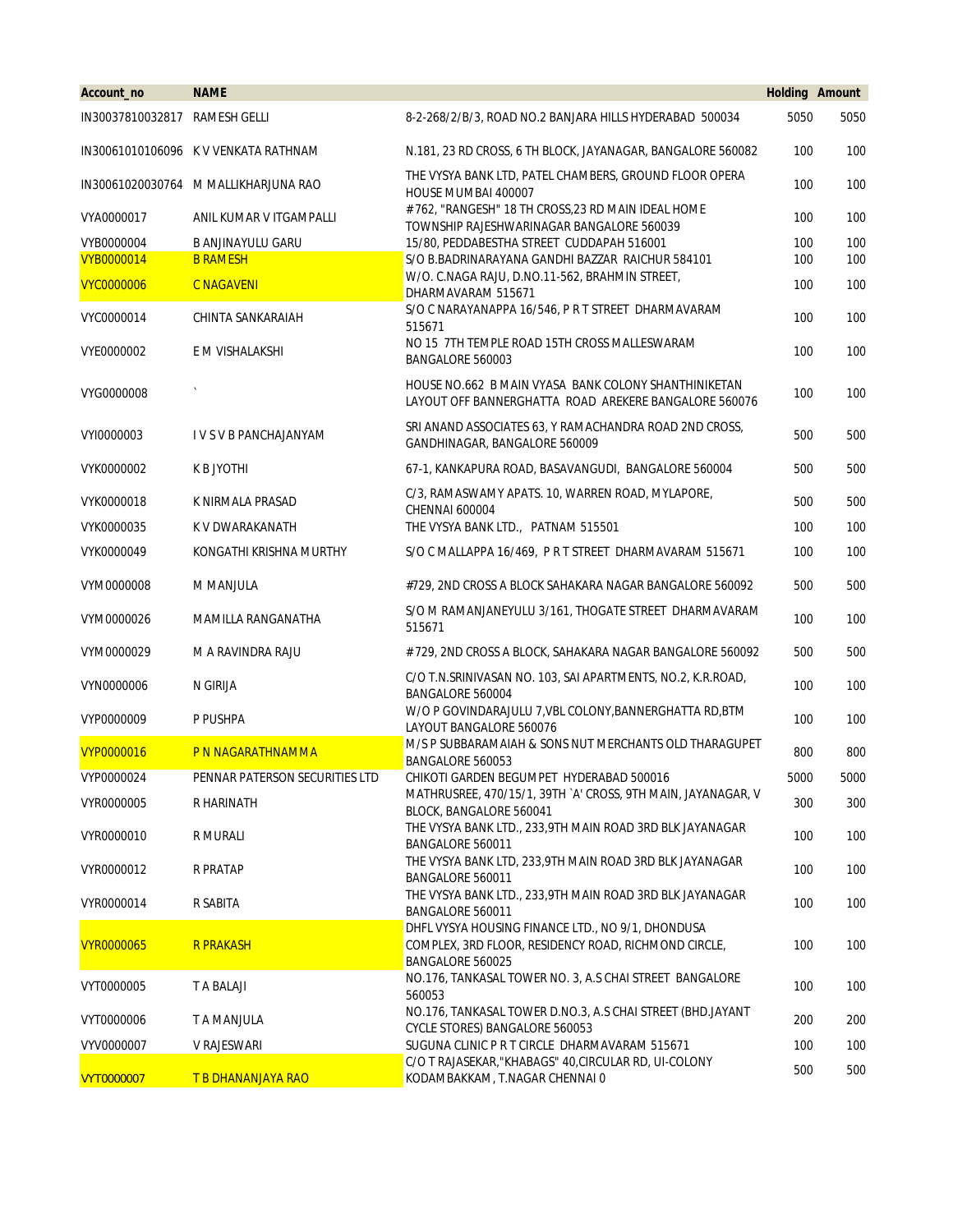| Account_no                    | <b>NAME</b>                          |                                                                                                                               | <b>Holding Amount</b> |      |
|-------------------------------|--------------------------------------|-------------------------------------------------------------------------------------------------------------------------------|-----------------------|------|
| IN30037810032817 RAMESH GELLI |                                      | 8-2-268/2/B/3, ROAD NO.2 BANJARA HILLS HYDERABAD 500034                                                                       | 5050                  | 5050 |
|                               | IN30061010106096 K V VENKATA RATHNAM | N.181, 23 RD CROSS, 6 TH BLOCK, JAYANAGAR, BANGALORE 560082                                                                   | 100                   | 100  |
|                               | IN30061020030764 M MALLIKHARJUNA RAO | THE VYSYA BANK LTD, PATEL CHAMBERS, GROUND FLOOR OPERA<br>HOUSE MUMBAI 400007                                                 | 100                   | 100  |
| VYA0000017                    | ANIL KUMAR V ITGAMPALLI              | # 762, "RANGESH" 18 TH CROSS, 23 RD MAIN IDEAL HOME<br>TOWNSHIP RAJESHWARINAGAR BANGALORE 560039                              | 100                   | 100  |
| VYB0000004                    | <b>B ANJINAYULU GARU</b>             | 15/80, PEDDABESTHA STREET CUDDAPAH 516001                                                                                     | 100                   | 100  |
| <b>VYB0000014</b>             | <b>B RAMESH</b>                      | S/O B.BADRINARAYANA GANDHI BAZZAR RAICHUR 584101                                                                              | 100                   | 100  |
| <b>VYC0000006</b>             | <b>C NAGAVENI</b>                    | W/O. C.NAGA RAJU, D.NO.11-562, BRAHMIN STREET,<br>DHARMAVARAM 515671                                                          | 100                   | 100  |
| VYC0000014                    | CHINTA SANKARAIAH                    | S/O C NARAYANAPPA 16/546, P R T STREET DHARMAVARAM<br>515671                                                                  | 100                   | 100  |
| VYE0000002                    | E M VISHALAKSHI                      | NO 15 7TH TEMPLE ROAD 15TH CROSS MALLESWARAM<br>BANGALORE 560003                                                              | 100                   | 100  |
| VYG0000008                    |                                      | HOUSE NO.662 B MAIN VYASA BANK COLONY SHANTHINIKETAN<br>LAYOUT OFF BANNERGHATTA ROAD AREKERE BANGALORE 560076                 | 100                   | 100  |
| VYI0000003                    | IVS V B PANCHAJANYAM                 | SRI ANAND ASSOCIATES 63, Y RAMACHANDRA ROAD 2ND CROSS,<br>GANDHINAGAR, BANGALORE 560009                                       | 500                   | 500  |
| VYK0000002                    | K B JYOTHI                           | 67-1, KANKAPURA ROAD, BASAVANGUDI, BANGALORE 560004                                                                           | 500                   | 500  |
| VYK0000018                    | K NIRMALA PRASAD                     | C/3, RAMASWAMY APATS. 10, WARREN ROAD, MYLAPORE,<br>CHENNAI 600004                                                            | 500                   | 500  |
| VYK0000035                    | K V DWARAKANATH                      | THE VYSYA BANK LTD., PATNAM 515501                                                                                            | 100                   | 100  |
| VYK0000049                    | KONGATHI KRISHNA MURTHY              | S/O C MALLAPPA 16/469, P R T STREET DHARMAVARAM 515671                                                                        | 100                   | 100  |
| VYM0000008                    | M MANJULA                            | #729, 2ND CROSS A BLOCK SAHAKARA NAGAR BANGALORE 560092                                                                       | 500                   | 500  |
| VYM0000026                    | MAMILLA RANGANATHA                   | S/O M RAMANJANEYULU 3/161, THOGATE STREET DHARMAVARAM<br>515671                                                               | 100                   | 100  |
| VYM0000029                    | M A RAVINDRA RAJU                    | # 729, 2ND CROSS A BLOCK, SAHAKARA NAGAR BANGALORE 560092                                                                     | 500                   | 500  |
| VYN0000006                    | N GIRIJA                             | C/O T.N.SRINIVASAN NO. 103, SAI APARTMENTS, NO.2, K.R.ROAD,<br>BANGALORE 560004                                               | 100                   | 100  |
| VYP0000009                    | P PUSHPA                             | W/O P GOVINDARAJULU 7, VBL COLONY, BANNERGHATTA RD, BTM<br>LAYOUT BANGALORE 560076                                            | 100                   | 100  |
| <b>VYP0000016</b>             | P N NAGARATHNAMMA                    | M/S P SUBBARAMAIAH & SONS NUT MERCHANTS OLD THARAGUPET<br>BANGALORE 560053                                                    | 800                   | 800  |
| VYP0000024                    | PENNAR PATERSON SECURITIES LTD       | CHIKOTI GARDEN BEGUMPET HYDERABAD 500016                                                                                      | 5000                  | 5000 |
| VYR0000005                    | R HARINATH                           | MATHRUSREE, 470/15/1, 39TH `A' CROSS, 9TH MAIN, JAYANAGAR, V<br>BLOCK, BANGALORE 560041                                       | 300                   | 300  |
| VYR0000010                    | R MURALI                             | THE VYSYA BANK LTD., 233,9TH MAIN ROAD 3RD BLK JAYANAGAR<br>BANGALORE 560011                                                  | 100                   | 100  |
| VYR0000012                    | <b>R PRATAP</b>                      | THE VYSYA BANK LTD, 233,9TH MAIN ROAD 3RD BLK JAYANAGAR<br>BANGALORE 560011                                                   | 100                   | 100  |
| VYR0000014                    | R SABITA                             | THE VYSYA BANK LTD., 233,9TH MAIN ROAD 3RD BLK JAYANAGAR<br>BANGALORE 560011                                                  | 100                   | 100  |
| <b>VYR0000065</b>             | <b>R PRAKASH</b>                     | DHFL VYSYA HOUSING FINANCE LTD., NO 9/1, DHONDUSA<br>COMPLEX, 3RD FLOOR, RESIDENCY ROAD, RICHMOND CIRCLE,<br>BANGALORE 560025 | 100                   | 100  |
| VYT0000005                    | T A BALAJI                           | NO.176, TANKASAL TOWER NO. 3, A.S CHAI STREET BANGALORE<br>560053                                                             | 100                   | 100  |
| VYT0000006                    | T A MANJULA                          | NO.176, TANKASAL TOWER D.NO.3, A.S CHAI STREET (BHD.JAYANT<br>CYCLE STORES) BANGALORE 560053                                  | 200                   | 200  |
| VYV0000007                    | V RAJESWARI                          | SUGUNA CLINIC P R T CIRCLE DHARMAVARAM 515671                                                                                 | 100                   | 100  |
| <b>VYT0000007</b>             | T B DHANANJAYA RAO                   | C/O T RAJASEKAR, "KHABAGS" 40, CIRCULAR RD, UI-COLONY<br>KODAMBAKKAM, T.NAGAR CHENNAI 0                                       | 500                   | 500  |